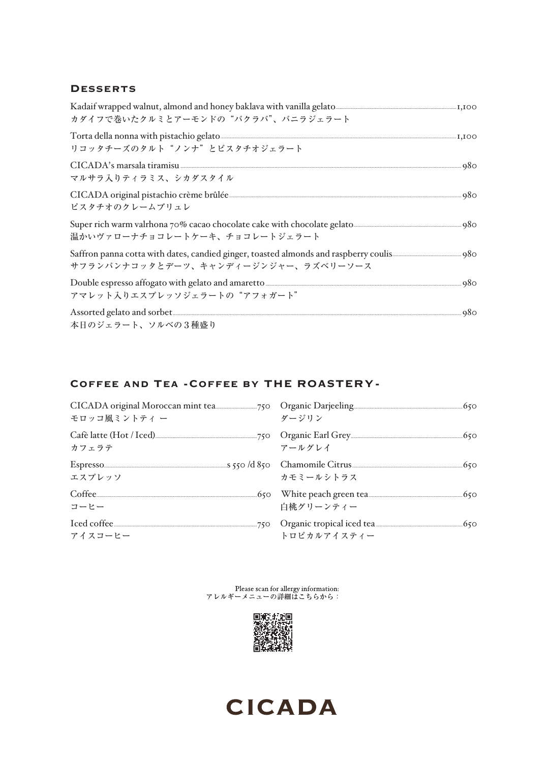#### **DESSERTS**

| カダイフで巻いたクルミとアーモンドの"バクラバ"、バニラジェラート                                                                                                                                                                                                                                      |  |
|------------------------------------------------------------------------------------------------------------------------------------------------------------------------------------------------------------------------------------------------------------------------|--|
| Torta della nonna with pistachio gelato <b>anno 1999</b> anno 1999 anno 1999. Iso qualitato anno 1999 anno 1999 anno 199<br>リコッタチーズのタルト"ノンナ"とピスタチオジェラート                                                                                                                |  |
| CICADA's marsala tiramisu 380<br>マルサラ入りティラミス、シカダスタイル                                                                                                                                                                                                                   |  |
| CICADA original pistachio crème brûlée<br>ピスタチオのクレームブリュレ                                                                                                                                                                                                               |  |
| Super rich warm valrhona 70% cacao chocolate cake with chocolate gelato<br>温かいヴァローナチョコレートケーキ、チョコレートジェラート                                                                                                                                                               |  |
| Saffron panna cotta with dates, candied ginger, toasted almonds and raspberry coulis<br>サフランパンナコッタとデーツ、キャンディージンジャー、ラズベリーソース                                                                                                                                            |  |
| Double espresso affogato with gelato and amaretto <b>Construction</b> and approximately a space of the spresso affogato with gelato and amaretto <b>Construction</b> and a space of the space of the space of the space of the space of<br>アマレット入りエスプレッソジェラートの"アフォガート" |  |
| 本日のジェラート、ソルベの3種盛り                                                                                                                                                                                                                                                      |  |

### COFFEE AND TEA - COFFEE BY THE ROASTERY-

| モロッコ風ミントティ ー                                                                                                                                                                                                                                  | ダージリン       |  |
|-----------------------------------------------------------------------------------------------------------------------------------------------------------------------------------------------------------------------------------------------|-------------|--|
| カフェラテ                                                                                                                                                                                                                                         | アールグレイ      |  |
| Espresso <u>(50</u> Chamomile Citrus (50 Chamomile Citrus (50 Chamomile Citrus (50 Chamomile Citrus (50 Chamomile Citrus (50 Chamomile Citrus (50 Chamomile Citrus (50 Chamomile Citrus (50 Chamomile Citrus (50 Chamomile Citrus (<br>エスプレッソ | カモミールシトラス   |  |
| コーヒー                                                                                                                                                                                                                                          | 白桃グリーンティー   |  |
| アイスコーヒー                                                                                                                                                                                                                                       | トロピカルアイスティー |  |

Please scan for allergy information:<br>アレルギーメニューの詳細はこちらから: